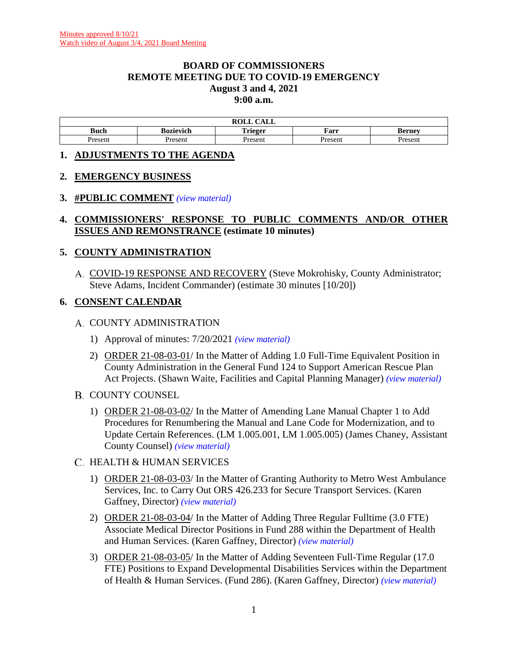#### **BOARD OF COMMISSIONERS REMOTE MEETING DUE TO COVID-19 EMERGENCY August 3 and 4, 2021 9:00 a.m.**

| $\sim$ $\sim$ $\sim$<br>DAT T<br>KULL<br>САЫС |           |                |         |                    |  |
|-----------------------------------------------|-----------|----------------|---------|--------------------|--|
| Buch                                          | Bozievich | . .<br>'rieger | Farr    | Berney –           |  |
| Jrocon<br>Tesent                              | Present   | resen          | Present | resen <sup>.</sup> |  |

#### **1. ADJUSTMENTS TO THE AGENDA**

### **2. EMERGENCY BUSINESS**

### **3. #PUBLIC COMMENT** *[\(view material\)](http://www.lanecountyor.gov/UserFiles/Servers/Server_3585797/File/Government/BCC/2021/2021_AGENDAS/080321agenda/T.3.pdf)*

### **4. COMMISSIONERS' RESPONSE TO PUBLIC COMMENTS AND/OR OTHER ISSUES AND REMONSTRANCE (estimate 10 minutes)**

### **5. COUNTY ADMINISTRATION**

A. COVID-19 RESPONSE AND RECOVERY (Steve Mokrohisky, County Administrator; Steve Adams, Incident Commander) (estimate 30 minutes [10/20])

### **6. CONSENT CALENDAR**

#### A. COUNTY ADMINISTRATION

- 1) Approval of minutes: 7/20/2021 *[\(view material\)](http://www.lanecountyor.gov/UserFiles/Servers/Server_3585797/File/Government/BCC/2021/2021_AGENDAS/080321agenda/T.6.A.1.pdf)*
- 2) ORDER 21-08-03-01/ In the Matter of Adding 1.0 Full-Time Equivalent Position in County Administration in the General Fund 124 to Support American Rescue Plan Act Projects. (Shawn Waite, Facilities and Capital Planning Manager) *[\(view material\)](http://www.lanecountyor.gov/UserFiles/Servers/Server_3585797/File/Government/BCC/2021/2021_AGENDAS/080321agenda/T.6.A.2.pdf)*
- **B. COUNTY COUNSEL** 
	- 1) ORDER 21-08-03-02/ In the Matter of Amending Lane Manual Chapter 1 to Add Procedures for Renumbering the Manual and Lane Code for Modernization, and to Update Certain References. (LM 1.005.001, LM 1.005.005) (James Chaney, Assistant County Counsel) *[\(view material\)](http://www.lanecountyor.gov/UserFiles/Servers/Server_3585797/File/Government/BCC/2021/2021_AGENDAS/080321agenda/T.6.B.1.pdf)*

### C. HEALTH & HUMAN SERVICES

- 1) ORDER 21-08-03-03/ In the Matter of Granting Authority to Metro West Ambulance Services, Inc. to Carry Out ORS 426.233 for Secure Transport Services. (Karen Gaffney, Director) *[\(view material\)](http://www.lanecountyor.gov/UserFiles/Servers/Server_3585797/File/Government/BCC/2021/2021_AGENDAS/080321agenda/T.6.C.1.pdf)*
- 2) ORDER 21-08-03-04/ In the Matter of Adding Three Regular Fulltime (3.0 FTE) Associate Medical Director Positions in Fund 288 within the Department of Health and Human Services. (Karen Gaffney, Director) *[\(view material\)](http://www.lanecountyor.gov/UserFiles/Servers/Server_3585797/File/Government/BCC/2021/2021_AGENDAS/080321agenda/T.6.C.2.pdf)*
- 3) ORDER 21-08-03-05/ In the Matter of Adding Seventeen Full-Time Regular (17.0 FTE) Positions to Expand Developmental Disabilities Services within the Department of Health & Human Services. (Fund 286). (Karen Gaffney, Director) *[\(view material\)](http://www.lanecountyor.gov/UserFiles/Servers/Server_3585797/File/Government/BCC/2021/2021_AGENDAS/080321agenda/T.6.C.3.pdf)*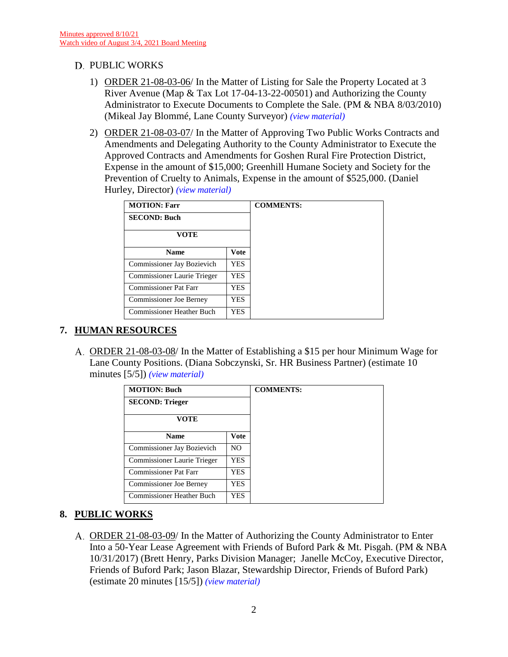### D. PUBLIC WORKS

- 1) ORDER 21-08-03-06/ In the Matter of Listing for Sale the Property Located at 3 River Avenue (Map & Tax Lot 17-04-13-22-00501) and Authorizing the County Administrator to Execute Documents to Complete the Sale. (PM & NBA 8/03/2010) (Mikeal Jay Blommé, Lane County Surveyor) *[\(view material\)](http://www.lanecountyor.gov/UserFiles/Servers/Server_3585797/File/Government/BCC/2021/2021_AGENDAS/080321agenda/T.6.D.1.pdf)*
- 2) ORDER 21-08-03-07/ In the Matter of Approving Two Public Works Contracts and Amendments and Delegating Authority to the County Administrator to Execute the Approved Contracts and Amendments for Goshen Rural Fire Protection District, Expense in the amount of \$15,000; Greenhill Humane Society and Society for the Prevention of Cruelty to Animals, Expense in the amount of \$525,000. (Daniel Hurley, Director) *[\(view material\)](http://www.lanecountyor.gov/UserFiles/Servers/Server_3585797/File/Government/BCC/2021/2021_AGENDAS/080321agenda/T.6.D.2.pdf)*

| <b>MOTION: Farr</b>              |            | <b>COMMENTS:</b> |  |
|----------------------------------|------------|------------------|--|
| <b>SECOND: Buch</b>              |            |                  |  |
| <b>VOTE</b>                      |            |                  |  |
| <b>Name</b>                      | Vote       |                  |  |
| Commissioner Jay Bozievich       | <b>YES</b> |                  |  |
| Commissioner Laurie Trieger      | YES        |                  |  |
| <b>Commissioner Pat Farr</b>     | YES        |                  |  |
| <b>Commissioner Joe Berney</b>   | YES        |                  |  |
| <b>Commissioner Heather Buch</b> | YES        |                  |  |

## **7. HUMAN RESOURCES**

A. ORDER 21-08-03-08/ In the Matter of Establishing a \$15 per hour Minimum Wage for Lane County Positions. (Diana Sobczynski, Sr. HR Business Partner) (estimate 10 minutes [5/5]) *[\(view material\)](http://www.lanecountyor.gov/UserFiles/Servers/Server_3585797/File/Government/BCC/2021/2021_AGENDAS/080321agenda/T.7.A.pdf)*

| <b>MOTION: Buch</b>              |             |
|----------------------------------|-------------|
| <b>SECOND: Trieger</b>           |             |
| VOTE                             |             |
| <b>Name</b>                      | <b>Vote</b> |
| Commissioner Jay Bozievich       | NO.         |
| Commissioner Laurie Trieger      | <b>YES</b>  |
| Commissioner Pat Farr            | <b>YES</b>  |
| <b>Commissioner Joe Berney</b>   | YES.        |
| <b>Commissioner Heather Buch</b> | <b>YES</b>  |

## **8. PUBLIC WORKS**

ORDER 21-08-03-09/ In the Matter of Authorizing the County Administrator to Enter Into a 50-Year Lease Agreement with Friends of Buford Park & Mt. Pisgah. (PM & NBA 10/31/2017) (Brett Henry, Parks Division Manager; Janelle McCoy, Executive Director, Friends of Buford Park; Jason Blazar, Stewardship Director, Friends of Buford Park) (estimate 20 minutes [15/5]) *[\(view material\)](http://www.lanecountyor.gov/UserFiles/Servers/Server_3585797/File/Government/BCC/2021/2021_AGENDAS/080321agenda/T.8.A.pdf)*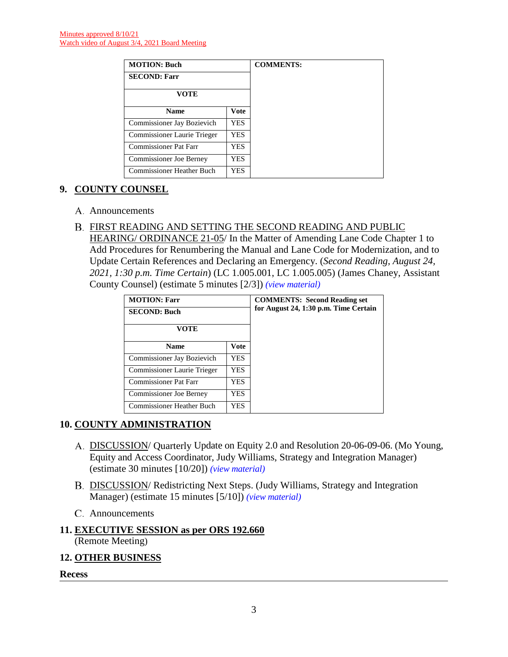| <b>MOTION: Buch</b>              |             |
|----------------------------------|-------------|
| <b>SECOND: Farr</b>              |             |
| VOTE                             |             |
| <b>Name</b>                      | <b>Vote</b> |
| Commissioner Jay Bozievich       | YES         |
| Commissioner Laurie Trieger      | YES         |
| <b>Commissioner Pat Farr</b>     | YES         |
| <b>Commissioner Joe Berney</b>   | YES         |
| <b>Commissioner Heather Buch</b> | YES         |

## **9. COUNTY COUNSEL**

- A. Announcements
- FIRST READING AND SETTING THE SECOND READING AND PUBLIC HEARING/ ORDINANCE 21-05/ In the Matter of Amending Lane Code Chapter 1 to Add Procedures for Renumbering the Manual and Lane Code for Modernization, and to Update Certain References and Declaring an Emergency. (*Second Reading, August 24, 2021, 1:30 p.m. Time Certain*) (LC 1.005.001, LC 1.005.005) (James Chaney, Assistant County Counsel) (estimate 5 minutes [2/3]) *[\(view material\)](http://www.lanecountyor.gov/UserFiles/Servers/Server_3585797/File/Government/BCC/2021/2021_AGENDAS/080321agenda/T.9.B.pdf)*

| <b>MOTION: Farr</b><br><b>SECOND: Buch</b> |             | <b>COMMENTS: Second Reading set</b><br>for August 24, 1:30 p.m. Time Certain |
|--------------------------------------------|-------------|------------------------------------------------------------------------------|
| VOTE                                       |             |                                                                              |
| <b>Name</b>                                | <b>Vote</b> |                                                                              |
| Commissioner Jay Bozievich                 | <b>YES</b>  |                                                                              |
| Commissioner Laurie Trieger                | YES.        |                                                                              |
| Commissioner Pat Farr                      | YES.        |                                                                              |
| <b>Commissioner Joe Berney</b>             | YES.        |                                                                              |
| Commissioner Heather Buch                  | YES.        |                                                                              |

# **10. COUNTY ADMINISTRATION**

- A. DISCUSSION/ Quarterly Update on Equity 2.0 and Resolution 20-06-09-06. (Mo Young, Equity and Access Coordinator, Judy Williams, Strategy and Integration Manager) (estimate 30 minutes [10/20]) *[\(view material\)](http://www.lanecountyor.gov/UserFiles/Servers/Server_3585797/File/Government/BCC/2021/2021_AGENDAS/080321agenda/T.10.A.pdf)*
- DISCUSSION/ Redistricting Next Steps. (Judy Williams, Strategy and Integration Manager) (estimate 15 minutes [5/10]) *[\(view material\)](http://www.lanecountyor.gov/UserFiles/Servers/Server_3585797/File/Government/BCC/2021/2021_AGENDAS/080321agenda/T.10.B.pdf)*
- Announcements

# **11. EXECUTIVE SESSION as per ORS 192.660**

(Remote Meeting)

### **12. OTHER BUSINESS**

**Recess**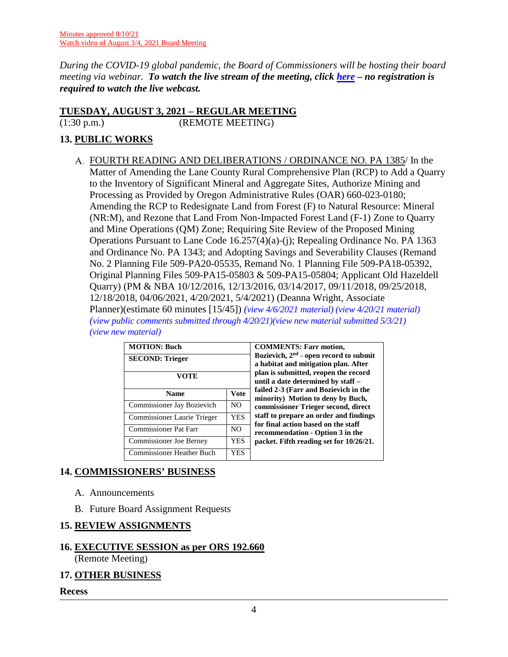*During the COVID-19 global pandemic, the Board of Commissioners will be hosting their board meeting via webinar. To watch the live stream of the meeting, click [here](https://lanecounty.org/cms/One.aspx?portalId=3585881&pageId=7842434) – no registration is required to watch the live webcast.* 

### **TUESDAY, AUGUST 3, 2021 – REGULAR MEETING**

(1:30 p.m.) (REMOTE MEETING)

# **13. PUBLIC WORKS**

FOURTH READING AND DELIBERATIONS / ORDINANCE NO. PA 1385/ In the Matter of Amending the Lane County Rural Comprehensive Plan (RCP) to Add a Quarry to the Inventory of Significant Mineral and Aggregate Sites, Authorize Mining and Processing as Provided by Oregon Administrative Rules (OAR) 660-023-0180; Amending the RCP to Redesignate Land from Forest (F) to Natural Resource: Mineral (NR:M), and Rezone that Land From Non-Impacted Forest Land (F-1) Zone to Quarry and Mine Operations (QM) Zone; Requiring Site Review of the Proposed Mining Operations Pursuant to Lane Code 16.257(4)(a)-(j); Repealing Ordinance No. PA 1363 and Ordinance No. PA 1343; and Adopting Savings and Severability Clauses (Remand No. 2 Planning File 509-PA20-05535, Remand No. 1 Planning File 509-PA18-05392, Original Planning Files 509-PA15-05803 & 509-PA15-05804; Applicant Old Hazeldell Quarry) (PM & NBA 10/12/2016, 12/13/2016, 03/14/2017, 09/11/2018, 09/25/2018, 12/18/2018, 04/06/2021, 4/20/2021, 5/4/2021) (Deanna Wright, Associate Planner)(estimate 60 minutes [15/45]) *[\(view 4/6/2021 material\)](http://www.lanecountyor.gov/UserFiles/Servers/Server_3585797/File/Government/BCC/2021/2021_AGENDAS/040621agenda/T.10.A.pdf) [\(view 4/20/21 material\)](http://www.lanecountyor.gov/UserFiles/Servers/Server_3585797/File/Government/BCC/2021/2021_AGENDAS/042021agenda/T.12.A.pdf) [\(view public comments submitted through](http://www.lanecountyor.gov/UserFiles/Servers/Server_3585797/File/Government/BCC/2021/2021_AGENDAS/050421agenda/T.12.A.pdf) 4/20/21)[\(view new material submitted 5/3/21\)](http://www.lanecountyor.gov/UserFiles/Servers/Server_3585797/File/Government/BCC/2021/2021_AGENDAS/050421agenda/T.12.Asupp.pdf) [\(view new material\)](http://www.lanecountyor.gov/UserFiles/Servers/Server_3585797/File/Government/BCC/2021/2021_AGENDAS/080321agenda/T.12.A.pdf)*

| <b>MOTION: Buch</b><br><b>SECOND: Trieger</b><br>VOTE |             | <b>COMMENTS: Farr motion,</b><br>Bozievich, $2nd$ - open record to submit<br>a habitat and mitigation plan. After<br>plan is submitted, reopen the record<br>until a date determined by staff - |  |
|-------------------------------------------------------|-------------|-------------------------------------------------------------------------------------------------------------------------------------------------------------------------------------------------|--|
| <b>Name</b>                                           | <b>Vote</b> | failed 2-3 (Farr and Bozievich in the<br>minority) Motion to deny by Buch,                                                                                                                      |  |
| Commissioner Jay Bozievich                            | NO.         | commissioner Trieger second, direct                                                                                                                                                             |  |
| Commissioner Laurie Trieger                           | <b>YES</b>  | staff to prepare an order and findings<br>for final action based on the staff                                                                                                                   |  |
| Commissioner Pat Farr                                 | NO.         | recommendation - Option 3 in the                                                                                                                                                                |  |
| <b>Commissioner Joe Berney</b>                        | YES         | packet. Fifth reading set for 10/26/21.                                                                                                                                                         |  |
| <b>Commissioner Heather Buch</b>                      | <b>YES</b>  |                                                                                                                                                                                                 |  |

# **14. COMMISSIONERS' BUSINESS**

- A. Announcements
- B. Future Board Assignment Requests

# **15. REVIEW ASSIGNMENTS**

### **16. EXECUTIVE SESSION as per ORS 192.660** (Remote Meeting)

# **17. OTHER BUSINESS**

**Recess**